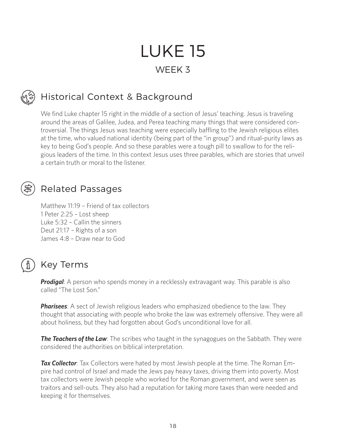# LUKE 15 WEEK 3

## Historical Context & Background

We find Luke chapter 15 right in the middle of a section of Jesus' teaching. Jesus is traveling around the areas of Galilee, Judea, and Perea teaching many things that were considered controversial. The things Jesus was teaching were especially baffling to the Jewish religious elites at the time, who valued national identity (being part of the "in group") and ritual-purity laws as key to being God's people. And so these parables were a tough pill to swallow to for the religious leaders of the time. In this context Jesus uses three parables, which are stories that unveil a certain truth or moral to the listener.

#### Related Passages

Matthew 11:19 – Friend of tax collectors 1 Peter 2:25 – Lost sheep Luke 5:32 – Callin the sinners Deut 21:17 – Rights of a son James 4:8 – Draw near to God

#### Key Terms

**Prodigal**: A person who spends money in a recklessly extravagant way. This parable is also called "The Lost Son."

*Pharisees*: A sect of Jewish religious leaders who emphasized obedience to the law. They thought that associating with people who broke the law was extremely offensive. They were all about holiness, but they had forgotten about God's unconditional love for all.

**The Teachers of the Law**: The scribes who taught in the synagogues on the Sabbath. They were considered the authorities on biblical interpretation.

*Tax Collector*: Tax Collectors were hated by most Jewish people at the time. The Roman Empire had control of Israel and made the Jews pay heavy taxes, driving them into poverty. Most tax collectors were Jewish people who worked for the Roman government, and were seen as traitors and sell-outs. They also had a reputation for taking more taxes than were needed and keeping it for themselves.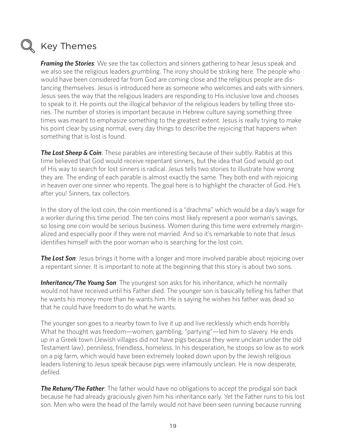

#### $\mathbb Q$  Key Themes

*Framing the Stories*: We see the tax collectors and sinners gathering to hear Jesus speak and we also see the religious leaders grumbling. The irony should be striking here. The people who would have been considered far from God are coming close and the religious people are distancing themselves. Jesus is introduced here as someone who welcomes and eats with sinners. Jesus sees the way that the religious leaders are responding to His inclusive love and chooses to speak to it. He points out the illogical behavior of the religious leaders by telling three stories. The number of stories is important because in Hebrew culture saying something three times was meant to emphasize something to the greatest extent. Jesus is really trying to make his point clear by using normal, every day things to describe the rejoicing that happens when something that is lost is found.

**The Lost Sheep & Coin**: These parables are interesting because of their subtly. Rabbis at this time believed that God would receive repentant sinners, but the idea that God would go out of His way to search for lost sinners is radical. Jesus tells two stories to illustrate how wrong they are. The ending of each parable is almost exactly the same. They both end with rejoicing in heaven over one sinner who repents. The goal here is to highlight the character of God. He's after you! Sinners, tax collectors.

In the story of the lost coin, the coin mentioned is a "drachma" which would be a day's wage for a worker during this time period. The ten coins most likely represent a poor woman's savings, so losing one coin would be serious business. Women during this time were extremely marginalized and especially poor if they were not married. And so it's remarkable to note that Jesus identifies himself with the poor woman who is searching for the lost coin.

**The Lost Son**: Jesus brings it home with a longer and more involved parable about rejoicing over a repentant sinner. It is important to note at the beginning that this story is about two sons.

*Inheritance/The Young Son*: The youngest son asks for his inheritance, which he normally would not have received until his Father died. The younger son is basically telling his father that he wants his money more than he wants him. He is saying he wishes his father was dead so that he could have freedom to do what he wants.

The younger son goes to a nearby town to live it up and live recklessly which ends horribly. What he thought was freedom—women, gambling, "partying"—led him to slavery. He ends up in a Greek town (Jewish villages did not have pigs because they were unclean under the old Testament law), penniless, friendless, homeless. In his desperation, he stoops so low as to work on a pig farm, which would have been extremely looked down upon by the Jewish religious leaders listening to Jesus speak because pigs were infamously unclean. He is now desperate, defiled.

**The Return/The Father**: The father would have no obligations to accept the prodigal son back because he had already graciously given him his inheritance early. Yet the Father runs to his lost son. Men who were the head of the family would not have been seen running because running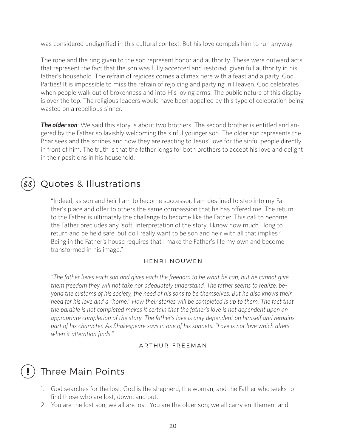was considered undignified in this cultural context. But his love compels him to run anyway.

The robe and the ring given to the son represent honor and authority. These were outward acts that represent the fact that the son was fully accepted and restored, given full authority in his father's household. The refrain of rejoices comes a climax here with a feast and a party. God Parties! It is impossible to miss the refrain of rejoicing and partying in Heaven. God celebrates when people walk out of brokenness and into His loving arms. The public nature of this display is over the top. The religious leaders would have been appalled by this type of celebration being wasted on a rebellious sinner.

**The older son**: We said this story is about two brothers. The second brother is entitled and angered by the Father so lavishly welcoming the sinful younger son. The older son represents the Pharisees and the scribes and how they are reacting to Jesus' love for the sinful people directly in front of him. The truth is that the father longs for both brothers to accept his love and delight in their positions in his household.

### Quotes & Illustrations

"Indeed, as son and heir I am to become successor. I am destined to step into my Father's place and offer to others the same compassion that he has offered me. The return to the Father is ultimately the challenge to become like the Father. This call to become the Father precludes any 'soft' interpretation of the story. I know how much I long to return and be held safe, but do I really want to be son and heir with all that implies? Being in the Father's house requires that I make the Father's life my own and become transformed in his image."

#### HENRI NOUWEN

*"The father loves each son and gives each the freedom to be what he can, but he cannot give them freedom they will not take nor adequately understand. The father seems to realize, beyond the customs of his society, the need of his sons to be themselves. But he also knows their need for his love and a "home." How their stories will be completed is up to them. The fact that the parable is not completed makes it certain that the father's love is not dependent upon an appropriate completion of the story. The father's love is only dependent on himself and remains part of his character. As Shakespeare says in one of his sonnets: "Love is not love which alters when it alteration finds."* 

#### ARTHUR FREEMAN

### Three Main Points

- 1. God searches for the lost. God is the shepherd, the woman, and the Father who seeks to find those who are lost, down, and out.
- 2. You are the lost son; we all are lost. You are the older son; we all carry entitlement and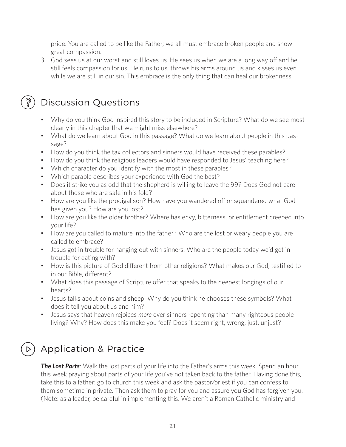pride. You are called to be like the Father; we all must embrace broken people and show great compassion.

3. God sees us at our worst and still loves us. He sees us when we are a long way off and he still feels compassion for us. He runs to us, throws his arms around us and kisses us even while we are still in our sin. This embrace is the only thing that can heal our brokenness.



### Discussion Questions

- Why do you think God inspired this story to be included in Scripture? What do we see most clearly in this chapter that we might miss elsewhere?
- What do we learn about God in this passage? What do we learn about people in this passage?
- How do you think the tax collectors and sinners would have received these parables?
- How do you think the religious leaders would have responded to Jesus' teaching here?
- Which character do you identify with the most in these parables?
- Which parable describes your experience with God the best?
- Does it strike you as odd that the shepherd is willing to leave the 99? Does God not care about those who are safe in his fold?
- How are you like the prodigal son? How have you wandered off or squandered what God has given you? How are you lost?
- How are you like the older brother? Where has envy, bitterness, or entitlement creeped into your life?
- How are you called to mature into the father? Who are the lost or weary people you are called to embrace?
- Jesus got in trouble for hanging out with sinners. Who are the people today we'd get in trouble for eating with?
- How is this picture of God different from other religions? What makes our God, testified to in our Bible, different?
- What does this passage of Scripture offer that speaks to the deepest longings of our hearts?
- Jesus talks about coins and sheep. Why do you think he chooses these symbols? What does it tell you about us and him?
- Jesus says that heaven rejoices *more* over sinners repenting than many righteous people living? Why? How does this make you feel? Does it seem right, wrong, just, unjust?

## Application & Practice

**The Lost Parts**: Walk the lost parts of your life into the Father's arms this week. Spend an hour this week praying about parts of your life you've not taken back to the father. Having done this, take this to a father: go to church this week and ask the pastor/priest if you can confess to them sometime in private. Then ask them to pray for you and assure you God has forgiven you. (Note: as a leader, be careful in implementing this. We aren't a Roman Catholic ministry and